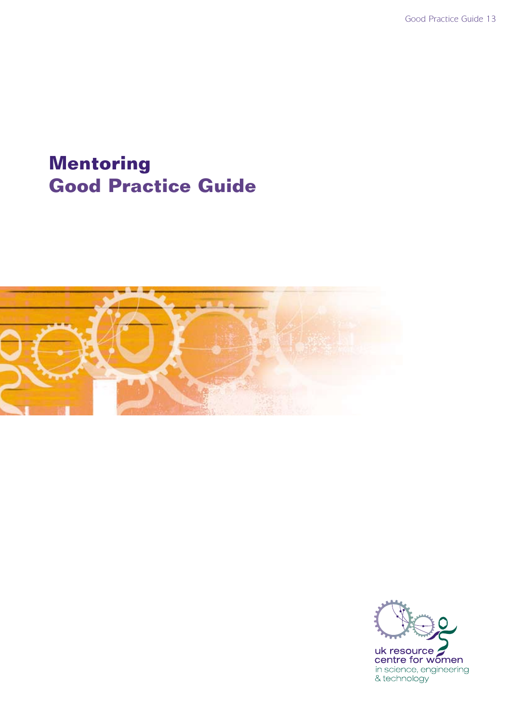## **Mentoring Good Practice Guide**



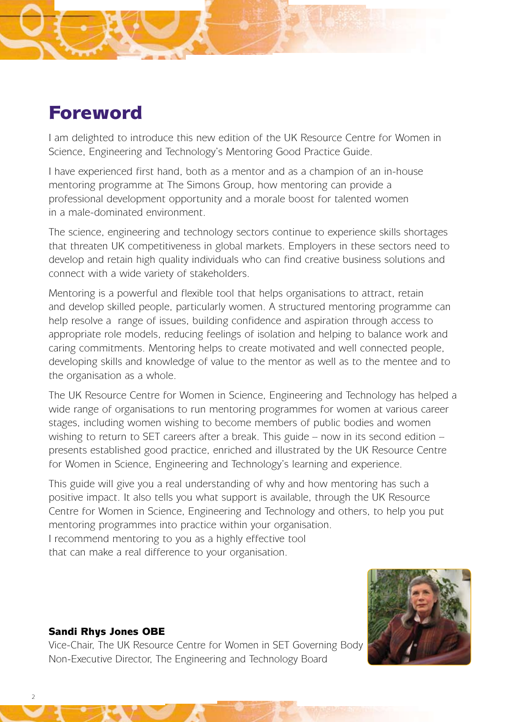## Foreword

I am delighted to introduce this new edition of the UK Resource Centre for Women in Science, Engineering and Technology's Mentoring Good Practice Guide.

I have experienced first hand, both as a mentor and as a champion of an in-house mentoring programme at The Simons Group, how mentoring can provide a professional development opportunity and a morale boost for talented women in a male-dominated environment.

The science, engineering and technology sectors continue to experience skills shortages that threaten UK competitiveness in global markets. Employers in these sectors need to develop and retain high quality individuals who can find creative business solutions and connect with a wide variety of stakeholders.

Mentoring is a powerful and flexible tool that helps organisations to attract, retain and develop skilled people, particularly women. A structured mentoring programme can help resolve a range of issues, building confidence and aspiration through access to appropriate role models, reducing feelings of isolation and helping to balance work and caring commitments. Mentoring helps to create motivated and well connected people, developing skills and knowledge of value to the mentor as well as to the mentee and to the organisation as a whole.

The UK Resource Centre for Women in Science, Engineering and Technology has helped a wide range of organisations to run mentoring programmes for women at various career stages, including women wishing to become members of public bodies and women wishing to return to SET careers after a break. This guide – now in its second edition – presents established good practice, enriched and illustrated by the UK Resource Centre for Women in Science, Engineering and Technology's learning and experience.

This guide will give you a real understanding of why and how mentoring has such a positive impact. It also tells you what support is available, through the UK Resource Centre for Women in Science, Engineering and Technology and others, to help you put mentoring programmes into practice within your organisation.

I recommend mentoring to you as a highly effective tool

that can make a real difference to your organisation.



#### Sandi Rhys Jones OBE

Vice-Chair, The UK Resource Centre for Women in SET Governing Body Non-Executive Director, The Engineering and Technology Board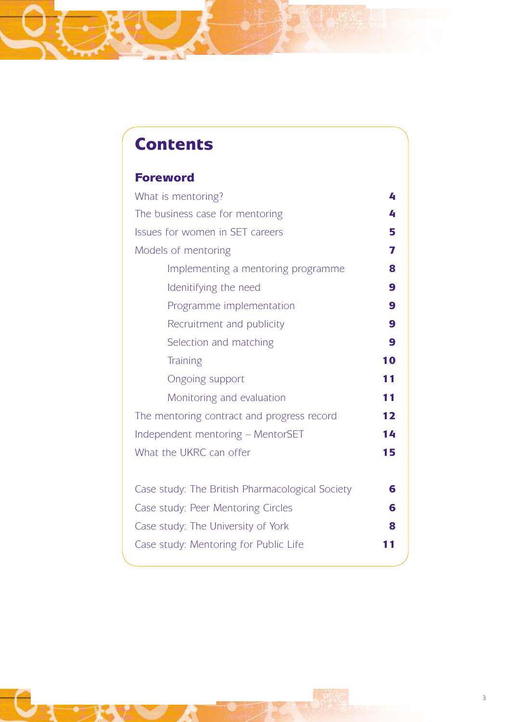## **Contents**

### Foreword

| What is mentoring?                               |    |  |  |
|--------------------------------------------------|----|--|--|
| The business case for mentoring<br>4             |    |  |  |
| Issues for women in SET careers<br>5             |    |  |  |
| Models of mentoring                              | 7  |  |  |
| Implementing a mentoring programme               | 8  |  |  |
| Idenitifying the need                            | 9  |  |  |
| Programme implementation                         | 9  |  |  |
| Recruitment and publicity                        | 9  |  |  |
| Selection and matching                           | 9  |  |  |
| <b>Training</b>                                  | 10 |  |  |
| <b>Ongoing support</b>                           | 11 |  |  |
| Monitoring and evaluation                        | 11 |  |  |
| 12<br>The mentoring contract and progress record |    |  |  |
| Independent mentoring - MentorSET<br>14          |    |  |  |
| What the UKRC can offer<br>15                    |    |  |  |
|                                                  |    |  |  |
| Case study: The British Pharmacological Society  | 6  |  |  |
| Case study: Peer Mentoring Circles               | 6  |  |  |
| Case study: The University of York<br>8          |    |  |  |
| Case study: Mentoring for Public Life            | п  |  |  |
|                                                  |    |  |  |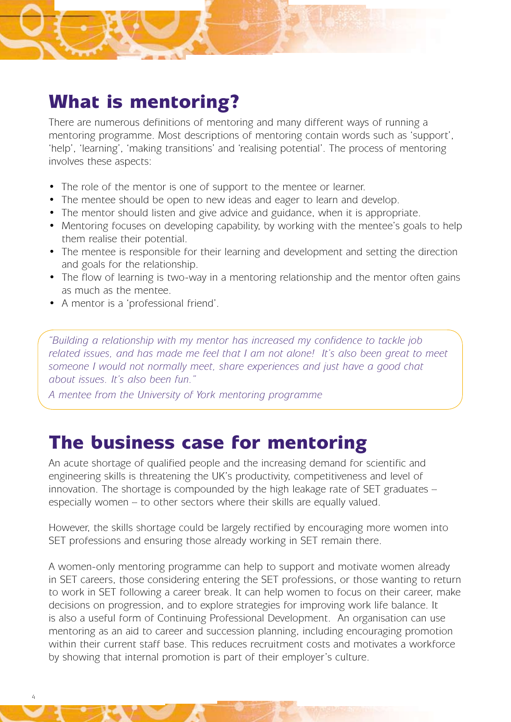## What is mentoring?

There are numerous definitions of mentoring and many different ways of running a mentoring programme. Most descriptions of mentoring contain words such as 'support', 'help', 'learning', 'making transitions' and 'realising potential'. The process of mentoring involves these aspects:

- The role of the mentor is one of support to the mentee or learner.
- The mentee should be open to new ideas and eager to learn and develop.
- The mentor should listen and give advice and guidance, when it is appropriate.
- Mentoring focuses on developing capability, by working with the mentee's goals to help them realise their potential.
- The mentee is responsible for their learning and development and setting the direction and goals for the relationship.
- The flow of learning is two-way in a mentoring relationship and the mentor often gains as much as the mentee.
- • A mentor is a 'professional friend'.

*"Building a relationship with my mentor has increased my confidence to tackle job related issues, and has made me feel that I am not alone! It's also been great to meet someone I would not normally meet, share experiences and just have a good chat about issues. It's also been fun."*

*A mentee from the University of York mentoring programme*

## The business case for mentoring

An acute shortage of qualified people and the increasing demand for scientific and engineering skills is threatening the UK's productivity, competitiveness and level of innovation. The shortage is compounded by the high leakage rate of SET graduates – especially women – to other sectors where their skills are equally valued.

However, the skills shortage could be largely rectified by encouraging more women into SET professions and ensuring those already working in SET remain there.

A women-only mentoring programme can help to support and motivate women already in SET careers, those considering entering the SET professions, or those wanting to return to work in SET following a career break. It can help women to focus on their career, make decisions on progression, and to explore strategies for improving work life balance. It is also a useful form of Continuing Professional Development. An organisation can use mentoring as an aid to career and succession planning, including encouraging promotion within their current staff base. This reduces recruitment costs and motivates a workforce by showing that internal promotion is part of their employer's culture.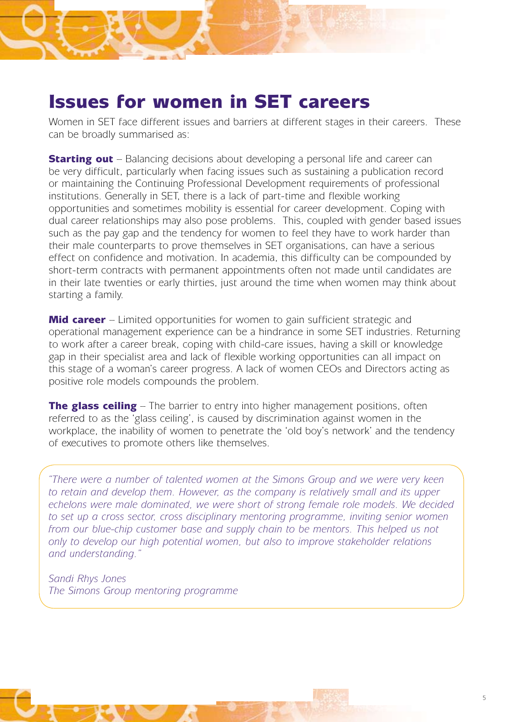## Issues for women in SET careers

Women in SET face different issues and barriers at different stages in their careers. These can be broadly summarised as:

**Starting out** – Balancing decisions about developing a personal life and career can be very difficult, particularly when facing issues such as sustaining a publication record or maintaining the Continuing Professional Development requirements of professional institutions. Generally in SET, there is a lack of part-time and flexible working opportunities and sometimes mobility is essential for career development. Coping with dual career relationships may also pose problems. This, coupled with gender based issues such as the pay gap and the tendency for women to feel they have to work harder than their male counterparts to prove themselves in SET organisations, can have a serious effect on confidence and motivation. In academia, this difficulty can be compounded by short-term contracts with permanent appointments often not made until candidates are in their late twenties or early thirties, just around the time when women may think about starting a family.

**Mid career** – Limited opportunities for women to gain sufficient strategic and operational management experience can be a hindrance in some SET industries. Returning to work after a career break, coping with child-care issues, having a skill or knowledge gap in their specialist area and lack of flexible working opportunities can all impact on this stage of a woman's career progress. A lack of women CEOs and Directors acting as positive role models compounds the problem.

**The glass ceiling** – The barrier to entry into higher management positions, often referred to as the 'glass ceiling', is caused by discrimination against women in the workplace, the inability of women to penetrate the 'old boy's network' and the tendency of executives to promote others like themselves.

*"There were a number of talented women at the Simons Group and we were very keen to retain and develop them. However, as the company is relatively small and its upper echelons were male dominated, we were short of strong female role models. We decided to set up a cross sector, cross disciplinary mentoring programme, inviting senior women from our blue-chip customer base and supply chain to be mentors. This helped us not only to develop our high potential women, but also to improve stakeholder relations and understanding."*

*Sandi Rhys Jones The Simons Group mentoring programme*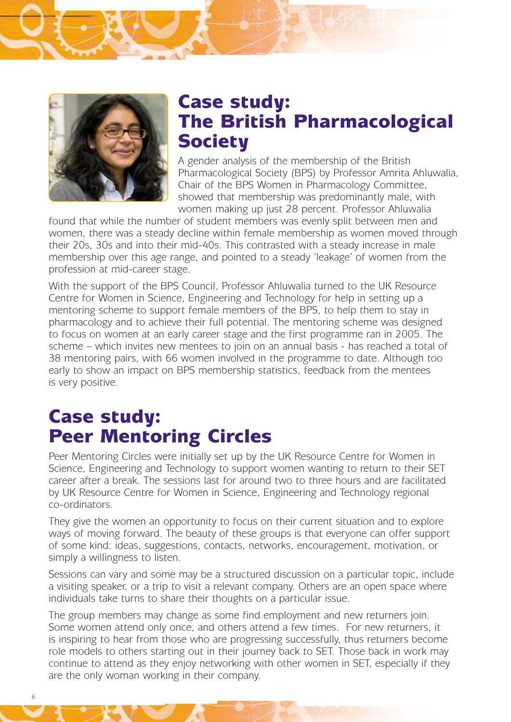

## Case study: The British Pharmacological **Society**

A gender analysis of the membership of the British Pharmacological Society (BPS) by Professor Amrita Ahluwalia, Chair of the BPS Women in Pharmacology Committee, showed that membership was predominantly male, with women making up just 28 percent. Professor Ahluwalia

found that while the number of student members was evenly split between men and women, there was a steady decline within female membership as women moved through their 20s, 30s and into their mid-40s. This contrasted with a steady increase in male membership over this age range, and pointed to a steady 'leakage' of women from the profession at mid-career stage.

With the support of the BPS Council, Professor Ahluwalia turned to the UK Resource Centre for Women in Science, Engineering and Technology for help in setting up a mentoring scheme to support female members of the BPS, to help them to stay in pharmacology and to achieve their full potential. The mentoring scheme was designed to focus on women at an early career stage and the first programme ran in 2005. The scheme – which invites new mentees to join on an annual basis - has reached a total of 38 mentoring pairs, with 66 women involved in the programme to date. Although too early to show an impact on BPS membership statistics, feedback from the mentees is very positive.

## Case study: Peer Mentoring Circles

Peer Mentoring Circles were initially set up by the UK Resource Centre for Women in Science, Engineering and Technology to support women wanting to return to their SET career after a break. The sessions last for around two to three hours and are facilitated by UK Resource Centre for Women in Science, Engineering and Technology regional co-ordinators.

They give the women an opportunity to focus on their current situation and to explore ways of moving forward. The beauty of these groups is that everyone can offer support of some kind: ideas, suggestions, contacts, networks, encouragement, motivation, or simply a willingness to listen.

Sessions can vary and some may be a structured discussion on a particular topic, include a visiting speaker, or a trip to visit a relevant company. Others are an open space where individuals take turns to share their thoughts on a particular issue.

The group members may change as some find employment and new returners join. Some women attend only once, and others attend a few times. For new returners, it is inspiring to hear from those who are progressing successfully, thus returners become role models to others starting out in their journey back to SET. Those back in work may continue to attend as they enjoy networking with other women in SET, especially if they are the only woman working in their company.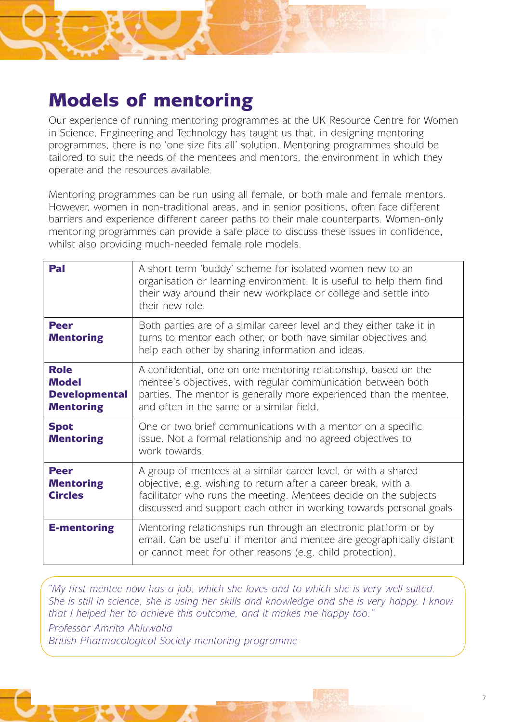## Models of mentoring

Our experience of running mentoring programmes at the UK Resource Centre for Women in Science, Engineering and Technology has taught us that, in designing mentoring programmes, there is no 'one size fits all' solution. Mentoring programmes should be tailored to suit the needs of the mentees and mentors, the environment in which they operate and the resources available.

Mentoring programmes can be run using all female, or both male and female mentors. However, women in non-traditional areas, and in senior positions, often face different barriers and experience different career paths to their male counterparts. Women-only mentoring programmes can provide a safe place to discuss these issues in confidence, whilst also providing much-needed female role models.

| Pal                                                                     | A short term 'buddy' scheme for isolated women new to an<br>organisation or learning environment. It is useful to help them find<br>their way around their new workplace or college and settle into<br>their new role.                                                      |
|-------------------------------------------------------------------------|-----------------------------------------------------------------------------------------------------------------------------------------------------------------------------------------------------------------------------------------------------------------------------|
| <b>Peer</b><br><b>Mentoring</b>                                         | Both parties are of a similar career level and they either take it in<br>turns to mentor each other, or both have similar objectives and<br>help each other by sharing information and ideas.                                                                               |
| <b>Role</b><br><b>Model</b><br><b>Developmental</b><br><b>Mentoring</b> | A confidential, one on one mentoring relationship, based on the<br>mentee's objectives, with regular communication between both<br>parties. The mentor is generally more experienced than the mentee,<br>and often in the same or a similar field.                          |
| <b>Spot</b><br><b>Mentoring</b>                                         | One or two brief communications with a mentor on a specific<br>issue. Not a formal relationship and no agreed objectives to<br>work towards.                                                                                                                                |
| <b>Peer</b><br><b>Mentoring</b><br><b>Circles</b>                       | A group of mentees at a similar career level, or with a shared<br>objective, e.g. wishing to return after a career break, with a<br>facilitator who runs the meeting. Mentees decide on the subjects<br>discussed and support each other in working towards personal goals. |
| <b>E-mentoring</b>                                                      | Mentoring relationships run through an electronic platform or by<br>email. Can be useful if mentor and mentee are geographically distant<br>or cannot meet for other reasons (e.g. child protection).                                                                       |

*"My first mentee now has a job, which she loves and to which she is very well suited. She is still in science, she is using her skills and knowledge and she is very happy. I know that I helped her to achieve this outcome, and it makes me happy too."* 

*Professor Amrita Ahluwalia*

*British Pharmacological Society mentoring programme*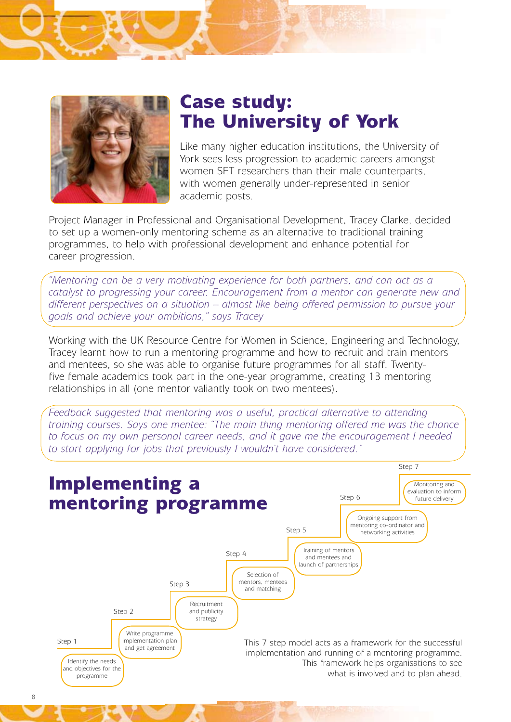

## Case study: The University of York

Like many higher education institutions, the University of York sees less progression to academic careers amongst women SET researchers than their male counterparts, with women generally under-represented in senior academic posts.

Project Manager in Professional and Organisational Development, Tracey Clarke, decided to set up a women-only mentoring scheme as an alternative to traditional training programmes, to help with professional development and enhance potential for career progression.

*"Mentoring can be a very motivating experience for both partners, and can act as a catalyst to progressing your career. Encouragement from a mentor can generate new and different perspectives on a situation – almost like being offered permission to pursue your goals and achieve your ambitions," says Tracey* 

Working with the UK Resource Centre for Women in Science, Engineering and Technology, Tracey learnt how to run a mentoring programme and how to recruit and train mentors and mentees, so she was able to organise future programmes for all staff. Twentyfive female academics took part in the one-year programme, creating 13 mentoring relationships in all (one mentor valiantly took on two mentees).

*Feedback suggested that mentoring was a useful, practical alternative to attending training courses. Says one mentee: "The main thing mentoring offered me was the chance to focus on my own personal career needs, and it gave me the encouragement I needed to start applying for jobs that previously I wouldn't have considered."*

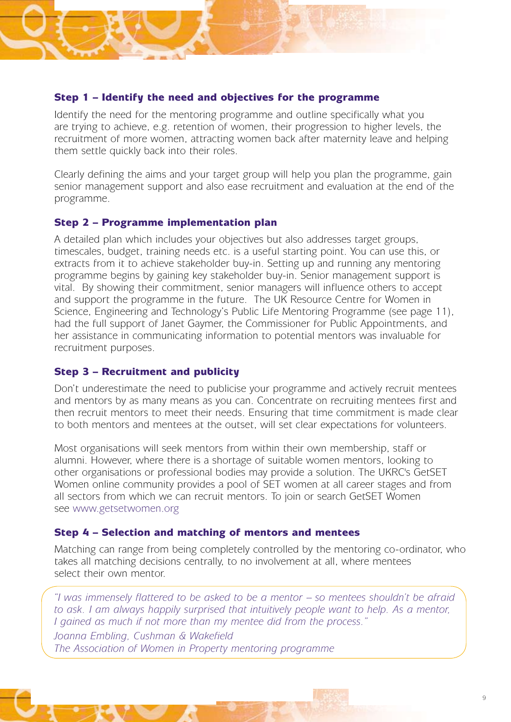#### Step 1 – Identify the need and objectives for the programme

Identify the need for the mentoring programme and outline specifically what you are trying to achieve, e.g. retention of women, their progression to higher levels, the recruitment of more women, attracting women back after maternity leave and helping them settle quickly back into their roles.

Clearly defining the aims and your target group will help you plan the programme, gain senior management support and also ease recruitment and evaluation at the end of the programme.

#### Step 2 – Programme implementation plan

A detailed plan which includes your objectives but also addresses target groups, timescales, budget, training needs etc. is a useful starting point. You can use this, or extracts from it to achieve stakeholder buy-in. Setting up and running any mentoring programme begins by gaining key stakeholder buy-in. Senior management support is vital. By showing their commitment, senior managers will influence others to accept and support the programme in the future. The UK Resource Centre for Women in Science, Engineering and Technology's Public Life Mentoring Programme (see page 11), had the full support of Janet Gaymer, the Commissioner for Public Appointments, and her assistance in communicating information to potential mentors was invaluable for recruitment purposes.

#### Step 3 – Recruitment and publicity

Don't underestimate the need to publicise your programme and actively recruit mentees and mentors by as many means as you can. Concentrate on recruiting mentees first and then recruit mentors to meet their needs. Ensuring that time commitment is made clear to both mentors and mentees at the outset, will set clear expectations for volunteers.

Most organisations will seek mentors from within their own membership, staff or alumni. However, where there is a shortage of suitable women mentors, looking to other organisations or professional bodies may provide a solution. The UKRC's GetSET Women online community provides a pool of SET women at all career stages and from all sectors from which we can recruit mentors. To join or search GetSET Women see www.getsetwomen.org

#### Step 4 – Selection and matching of mentors and mentees

Matching can range from being completely controlled by the mentoring co-ordinator, who takes all matching decisions centrally, to no involvement at all, where mentees select their own mentor.

*"I was immensely flattered to be asked to be a mentor – so mentees shouldn't be afraid to ask. I am always happily surprised that intuitively people want to help. As a mentor, I gained as much if not more than my mentee did from the process."*

*Joanna Embling, Cushman & Wakefield The Association of Women in Property mentoring programme*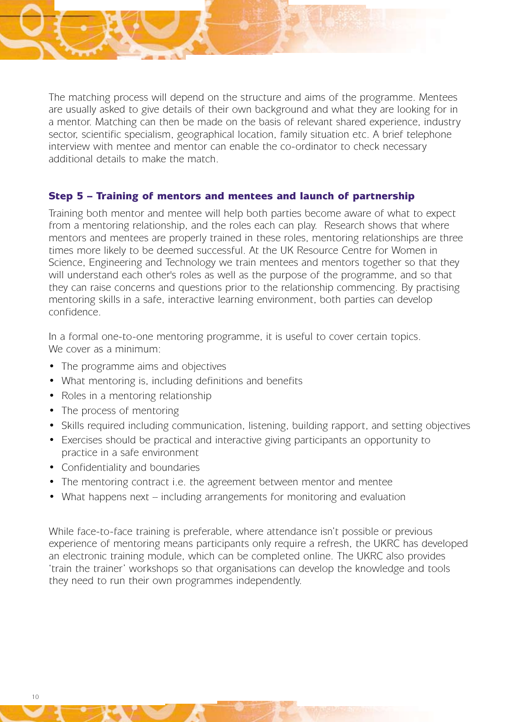The matching process will depend on the structure and aims of the programme. Mentees are usually asked to give details of their own background and what they are looking for in a mentor. Matching can then be made on the basis of relevant shared experience, industry sector, scientific specialism, geographical location, family situation etc. A brief telephone interview with mentee and mentor can enable the co-ordinator to check necessary additional details to make the match.

#### Step 5 – Training of mentors and mentees and launch of partnership

Training both mentor and mentee will help both parties become aware of what to expect from a mentoring relationship, and the roles each can play. Research shows that where mentors and mentees are properly trained in these roles, mentoring relationships are three times more likely to be deemed successful. At the UK Resource Centre for Women in Science, Engineering and Technology we train mentees and mentors together so that they will understand each other's roles as well as the purpose of the programme, and so that they can raise concerns and questions prior to the relationship commencing. By practising mentoring skills in a safe, interactive learning environment, both parties can develop confidence.

In a formal one-to-one mentoring programme, it is useful to cover certain topics. We cover as a minimum:

- The programme aims and objectives
- What mentoring is, including definitions and benefits
- Roles in a mentoring relationship
- The process of mentoring
- Skills required including communication, listening, building rapport, and setting objectives
- Exercises should be practical and interactive giving participants an opportunity to practice in a safe environment
- • Confidentiality and boundaries
- The mentoring contract i.e. the agreement between mentor and mentee
- What happens next including arrangements for monitoring and evaluation

While face-to-face training is preferable, where attendance isn't possible or previous experience of mentoring means participants only require a refresh, the UKRC has developed an electronic training module, which can be completed online. The UKRC also provides 'train the trainer' workshops so that organisations can develop the knowledge and tools they need to run their own programmes independently.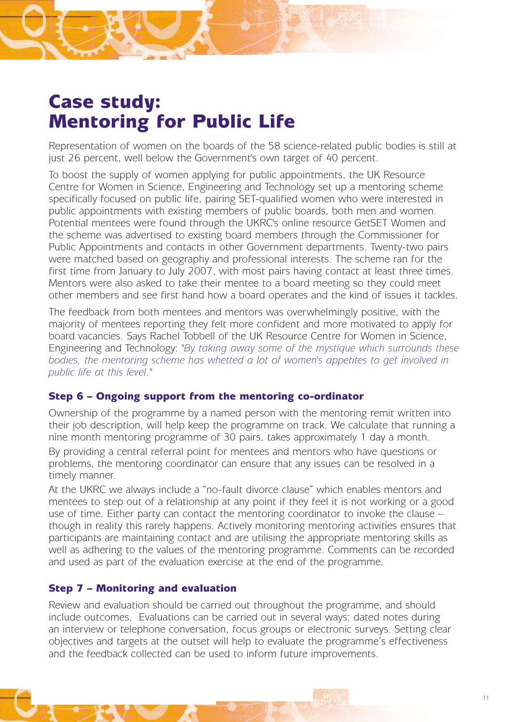## Case study: Mentoring for Public Life

Representation of women on the boards of the 58 science-related public bodies is still at just 26 percent, well below the Government's own target of 40 percent.

To boost the supply of women applying for public appointments, the UK Resource Centre for Women in Science, Engineering and Technology set up a mentoring scheme specifically focused on public life, pairing SET-qualified women who were interested in public appointments with existing members of public boards, both men and women. Potential mentees were found through the UKRC's online resource GetSET Women and the scheme was advertised to existing board members through the Commissioner for Public Appointments and contacts in other Government departments. Twenty-two pairs were matched based on geography and professional interests. The scheme ran for the first time from January to July 2007, with most pairs having contact at least three times. Mentors were also asked to take their mentee to a board meeting so they could meet other members and see first hand how a board operates and the kind of issues it tackles.

The feedback from both mentees and mentors was overwhelmingly positive, with the majority of mentees reporting they felt more confident and more motivated to apply for board vacancies. Says Rachel Tobbell of the UK Resource Centre for Women in Science, Engineering and Technology: *"By taking away some of the mystique which surrounds these bodies, the mentoring scheme has whetted a lot of women's appetites to get involved in public life at this level."*

#### Step 6 – Ongoing support from the mentoring co-ordinator

Ownership of the programme by a named person with the mentoring remit written into their job description, will help keep the programme on track. We calculate that running a nine month mentoring programme of 30 pairs, takes approximately 1 day a month.

By providing a central referral point for mentees and mentors who have questions or problems, the mentoring coordinator can ensure that any issues can be resolved in a timely manner.

At the UKRC we always include a "no-fault divorce clause" which enables mentors and mentees to step out of a relationship at any point if they feel it is not working or a good use of time. Either party can contact the mentoring coordinator to invoke the clause – though in reality this rarely happens. Actively monitoring mentoring activities ensures that participants are maintaining contact and are utilising the appropriate mentoring skills as well as adhering to the values of the mentoring programme. Comments can be recorded and used as part of the evaluation exercise at the end of the programme.

#### Step 7 – Monitoring and evaluation

Review and evaluation should be carried out throughout the programme, and should include outcomes. Evaluations can be carried out in several ways: dated notes during an interview or telephone conversation, focus groups or electronic surveys. Setting clear objectives and targets at the outset will help to evaluate the programme's effectiveness and the feedback collected can be used to inform future improvements.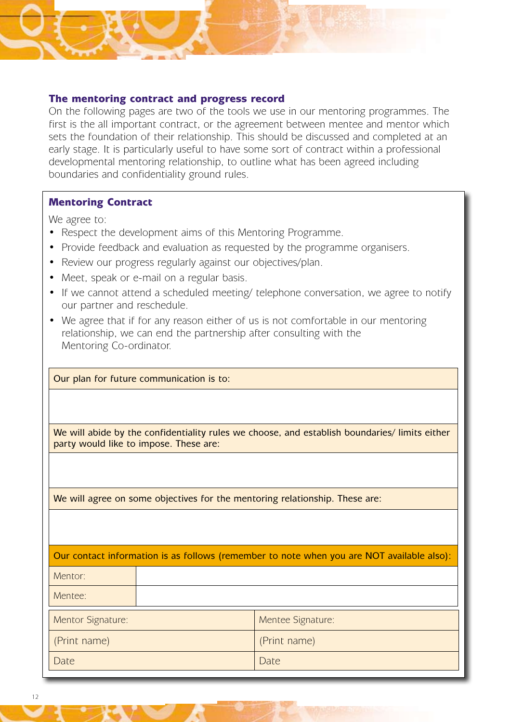#### The mentoring contract and progress record

On the following pages are two of the tools we use in our mentoring programmes. The first is the all important contract, or the agreement between mentee and mentor which sets the foundation of their relationship. This should be discussed and completed at an early stage. It is particularly useful to have some sort of contract within a professional developmental mentoring relationship, to outline what has been agreed including boundaries and confidentiality ground rules.

#### Mentoring Contract

We agree to:

- Respect the development aims of this Mentoring Programme.
- Provide feedback and evaluation as requested by the programme organisers.
- Review our progress regularly against our objectives/plan.
- Meet, speak or e-mail on a regular basis.
- If we cannot attend a scheduled meeting/ telephone conversation, we agree to notify our partner and reschedule.
- We agree that if for any reason either of us is not comfortable in our mentoring relationship, we can end the partnership after consulting with the Mentoring Co-ordinator.

| Our plan for future communication is to:                                                                                                |                   |  |  |
|-----------------------------------------------------------------------------------------------------------------------------------------|-------------------|--|--|
|                                                                                                                                         |                   |  |  |
|                                                                                                                                         |                   |  |  |
| We will abide by the confidentiality rules we choose, and establish boundaries/ limits either<br>party would like to impose. These are: |                   |  |  |
|                                                                                                                                         |                   |  |  |
|                                                                                                                                         |                   |  |  |
| We will agree on some objectives for the mentoring relationship. These are:                                                             |                   |  |  |
|                                                                                                                                         |                   |  |  |
|                                                                                                                                         |                   |  |  |
| Our contact information is as follows (remember to note when you are NOT available also):                                               |                   |  |  |
| Mentor:                                                                                                                                 |                   |  |  |
| Mentee:                                                                                                                                 |                   |  |  |
| Mentor Signature:                                                                                                                       | Mentee Signature: |  |  |
| (Print name)                                                                                                                            | (Print name)      |  |  |
| Date                                                                                                                                    | Date              |  |  |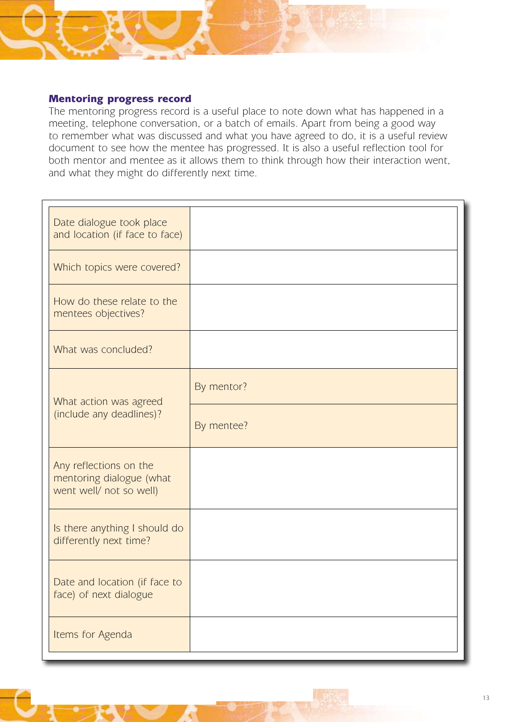#### Mentoring progress record

The mentoring progress record is a useful place to note down what has happened in a meeting, telephone conversation, or a batch of emails. Apart from being a good way to remember what was discussed and what you have agreed to do, it is a useful review document to see how the mentee has progressed. It is also a useful reflection tool for both mentor and mentee as it allows them to think through how their interaction went, and what they might do differently next time.

| Date dialogue took place<br>and location (if face to face)                    |            |
|-------------------------------------------------------------------------------|------------|
| Which topics were covered?                                                    |            |
| How do these relate to the<br>mentees objectives?                             |            |
| What was concluded?                                                           |            |
| What action was agreed<br>(include any deadlines)?                            | By mentor? |
|                                                                               | By mentee? |
| Any reflections on the<br>mentoring dialogue (what<br>went well/ not so well) |            |
| Is there anything I should do<br>differently next time?                       |            |
| Date and location (if face to<br>face) of next dialogue                       |            |
| Items for Agenda                                                              |            |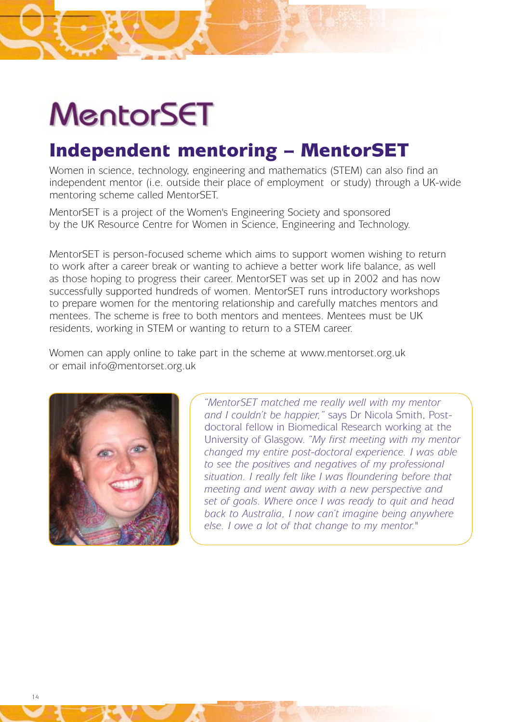# MentorSET

## Independent mentoring – MentorSET

Women in science, technology, engineering and mathematics (STEM) can also find an independent mentor (i.e. outside their place of employment or study) through a UK-wide mentoring scheme called MentorSET.

MentorSET is a project of the Women's Engineering Society and sponsored by the UK Resource Centre for Women in Science, Engineering and Technology.

MentorSET is person-focused scheme which aims to support women wishing to return to work after a career break or wanting to achieve a better work life balance, as well as those hoping to progress their career. MentorSET was set up in 2002 and has now successfully supported hundreds of women. MentorSET runs introductory workshops to prepare women for the mentoring relationship and carefully matches mentors and mentees. The scheme is free to both mentors and mentees. Mentees must be UK residents, working in STEM or wanting to return to a STEM career.

Women can apply online to take part in the scheme at www.mentorset.org.uk or email info@mentorset.org.uk



*"MentorSET matched me really well with my mentor and I couldn't be happier,"* says Dr Nicola Smith, Postdoctoral fellow in Biomedical Research working at the University of Glasgow. *"My first meeting with my mentor changed my entire post-doctoral experience. I was able to see the positives and negatives of my professional situation. I really felt like I was floundering before that meeting and went away with a new perspective and set of goals. Where once I was ready to quit and head back to Australia, I now can't imagine being anywhere else. I owe a lot of that change to my mentor."*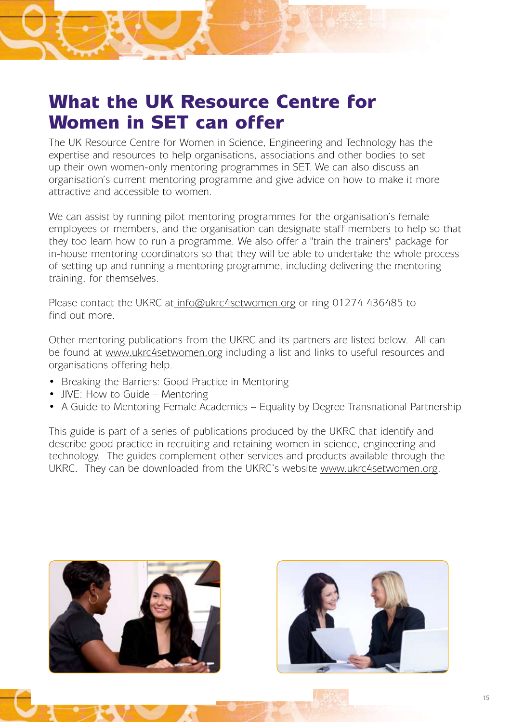## What the UK Resource Centre for Women in SET can offer

The UK Resource Centre for Women in Science, Engineering and Technology has the expertise and resources to help organisations, associations and other bodies to set up their own women-only mentoring programmes in SET. We can also discuss an organisation's current mentoring programme and give advice on how to make it more attractive and accessible to women.

We can assist by running pilot mentoring programmes for the organisation's female employees or members, and the organisation can designate staff members to help so that they too learn how to run a programme. We also offer a "train the trainers" package for in-house mentoring coordinators so that they will be able to undertake the whole process of setting up and running a mentoring programme, including delivering the mentoring training, for themselves.

Please contact the UKRC at info@ukrc4setwomen.org or ring 01274 436485 to find out more.

Other mentoring publications from the UKRC and its partners are listed below. All can be found at www.ukrc4setwomen.org including a list and links to useful resources and organisations offering help.

- Breaking the Barriers: Good Practice in Mentoring
- JIVE: How to Guide Mentoring
- A Guide to Mentoring Female Academics Equality by Degree Transnational Partnership

This guide is part of a series of publications produced by the UKRC that identify and describe good practice in recruiting and retaining women in science, engineering and technology. The guides complement other services and products available through the UKRC. They can be downloaded from the UKRC's website www.ukrc4setwomen.org.